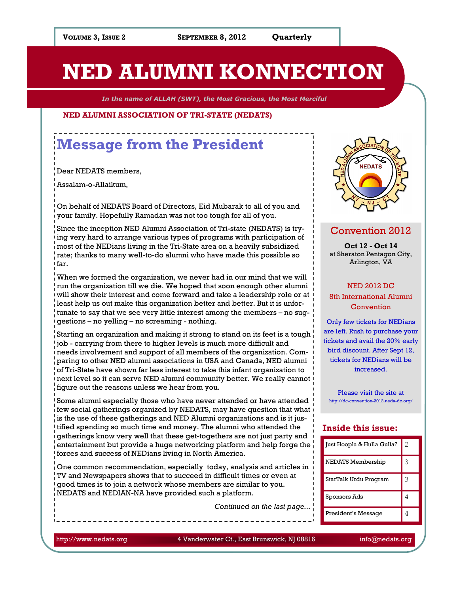**Quarterly** 

# NED ALUMNI KONNECTION

In the name of ALLAH (SWT), the Most Gracious, the Most Merciful

#### NED ALUMNI ASSOCIATION OF TRI-STATE (NEDATS)

# Message from the President

Dear NEDATS members,

Assalam-o-Allaikum,

On behalf of NEDATS Board of Directors, Eid Mubarak to all of you and your family. Hopefully Ramadan was not too tough for all of you.

Since the inception NED Alumni Association of Tri-state (NEDATS) is trying very hard to arrange various types of programs with participation of most of the NEDians living in the Tri-State area on a heavily subsidized rate; thanks to many well-to-do alumni who have made this possible so far.

When we formed the organization, we never had in our mind that we will run the organization till we die. We hoped that soon enough other alumni will show their interest and come forward and take a leadership role or at least help us out make this organization better and better. But it is unfortunate to say that we see very little interest among the members – no suggestions – no yelling – no screaming - nothing.

Starting an organization and making it strong to stand on its feet is a tough job - carrying from there to higher levels is much more difficult and needs involvement and support of all members of the organization. Comparing to other NED alumni associations in USA and Canada, NED alumni of Tri-State have shown far less interest to take this infant organization to next level so it can serve NED alumni community better. We really cannot figure out the reasons unless we hear from you.

Some alumni especially those who have never attended or have attended  $\dot{\mathbf{f}}$  few social gatherings organized by NEDATS, may have question that what is the use of these gatherings and NED Alumni organizations and is it justified spending so much time and money. The alumni who attended the gatherings know very well that these get-togethers are not just party and entertainment but provide a huge networking platform and help forge the forces and success of NEDians living in North America.

One common recommendation, especially today, analysis and articles in TV and Newspapers shows that to succeed in difficult times or even at good times is to join a network whose members are similar to you. NEDATS and NEDIAN-NA have provided such a platform.

Continued on the last page...



### Convention 2012

Oct 12 - Oct 14 at Sheraton Pentagon City, Arlington, VA

#### NED 2012 DC

8th International Alumni Convention

Only few tickets for NEDians are left. Rush to purchase your tickets and avail the 20% early bird discount. After Sept 12, tickets for NEDians will be increased.

Please visit the site at http://dc-convention-2012.neda-dc.org/

#### Inside this issue:

| Just Hoopla & Hulla Gulla? | 2 |
|----------------------------|---|
| NEDATS Membership          | 3 |
| StarTalk Urdu Program      | 3 |
| Sponsors Ads               | 4 |
| President's Message        | 4 |

http://www.nedats.org 4 Vanderwater Ct., East Brunswick, NJ 08816 info@nedats.org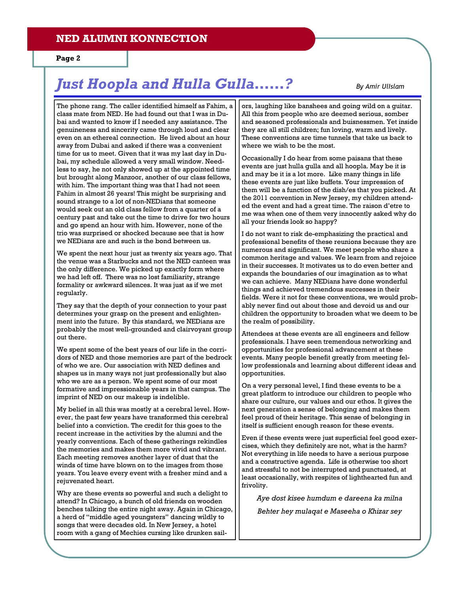### NED ALUMNI KONNECTION

Page 2

# Just Hoopla and Hulla Gulla……? By Amir Ullslam

The phone rang. The caller identified himself as Fahim, a class mate from NED. He had found out that I was in Dubai and wanted to know if I needed any assistance. The genuineness and sincerity came through loud and clear even on an ethereal connection. He lived about an hour away from Dubai and asked if there was a convenient time for us to meet. Given that it was my last day in Dubai, my schedule allowed a very small window. Needless to say, he not only showed up at the appointed time but brought along Manzoor, another of our class fellows, with him. The important thing was that I had not seen Fahim in almost 26 years! This might be surprising and sound strange to a lot of non-NEDians that someone would seek out an old class fellow from a quarter of a century past and take out the time to drive for two hours and go spend an hour with him. However, none of the trio was surprised or shocked because see that is how we NEDians are and such is the bond between us.

We spent the next hour just as twenty six years ago. That the venue was a Starbucks and not the NED canteen was the only difference. We picked up exactly form where we had left off. There was no lost familiarity, strange formality or awkward silences. It was just as if we met regularly.

They say that the depth of your connection to your past determines your grasp on the present and enlightenment into the future. By this standard, we NEDians are probably the most well-grounded and clairvoyant group out there.

We spent some of the best years of our life in the corridors of NED and those memories are part of the bedrock of who we are. Our association with NED defines and shapes us in many ways not just professionally but also who we are as a person. We spent some of our most formative and impressionable years in that campus. The imprint of NED on our makeup is indelible.

My belief in all this was mostly at a cerebral level. However, the past few years have transformed this cerebral belief into a conviction. The credit for this goes to the recent increase in the activities by the alumni and the yearly conventions. Each of these gatherings rekindles the memories and makes them more vivid and vibrant. Each meeting removes another layer of dust that the winds of time have blown on to the images from those years. You leave every event with a fresher mind and a rejuvenated heart.

Why are these events so powerful and such a delight to attend? In Chicago, a bunch of old friends on wooden benches talking the entire night away. Again in Chicago, a herd of "middle aged youngsters" dancing wildly to songs that were decades old. In New Jersey, a hotel room with a gang of Mechies cursing like drunken sailors, laughing like banshees and going wild on a guitar. All this from people who are deemed serious, somber and seasoned professionals and buisnessmen. Yet inside they are all still children; fun loving, warm and lively. These conventions are time tunnels that take us back to where we wish to be the most.

Occasionally I do hear from some paisans that these events are just hulla gulla and all hoopla. May be it is and may be it is a lot more. Like many things in life these events are just like buffets. Your impression of them will be a function of the dish/es that you picked. At the 2011 convention in New Jersey, my children attended the event and had a great time. The raison d'etre to me was when one of them very innocently asked why do all your friends look so happy?

I do not want to risk de-emphasizing the practical and professional benefits of these reunions because they are numerous and significant. We meet people who share a common heritage and values. We learn from and rejoice in their successes. It motivates us to do even better and expands the boundaries of our imagination as to what we can achieve. Many NEDians have done wonderful things and achieved tremendous successes in their fields. Were it not for these conventions, we would probably never find out about those and devoid us and our children the opportunity to broaden what we deem to be the realm of possibility.

Attendees at these events are all engineers and fellow professionals. I have seen tremendous networking and opportunities for professional advancement at these events. Many people benefit greatly from meeting fellow professionals and learning about different ideas and opportunities.

On a very personal level, I find these events to be a great platform to introduce our children to people who share our culture, our values and our ethos. It gives the next generation a sense of belonging and makes them feel proud of their heritage. This sense of belonging in itself is sufficient enough reason for these events.

Even if these events were just superficial feel good exercises, which they definitely are not, what is the harm? Not everything in life needs to have a serious purpose and a constructive agenda. Life is otherwise too short and stressful to not be interrupted and punctuated, at least occasionally, with respites of lighthearted fun and frivolity.

Aye dost kisee humdum e dareena ka milna

Behter hey mulaqat e Maseeha o Khizar sey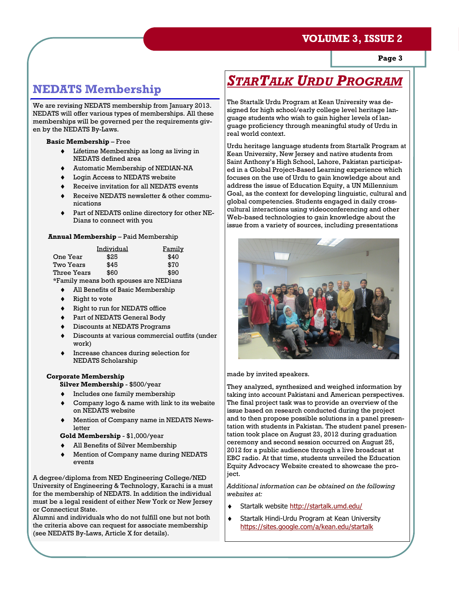### VOLUME 3, ISSUE 2

Page 3

### NEDATS Membership

We are revising NEDATS membership from January 2013. NEDATS will offer various types of memberships. All these memberships will be governed per the requirements given by the NEDATS By-Laws.

#### Basic Membership – Free

- ♦ Lifetime Membership as long as living in NEDATS defined area
- Automatic Membership of NEDIAN-NA
- Login Access to NEDATS website
- Receive invitation for all NEDATS events
- Receive NEDATS newsletter & other communications
- Part of NEDATS online directory for other NE-Dians to connect with you

#### Annual Membership – Paid Membership

|             | Individual | <u>Family</u>                          |
|-------------|------------|----------------------------------------|
| One Year    | \$25       | \$40                                   |
| Two Years   | \$45       | \$70                                   |
| Three Years | \$60       | \$90                                   |
|             |            | *Family moans both spouses are NFDians |

\*Family means both spouses are NEDians

- ♦ All Benefits of Basic Membership
- Right to vote
- Right to run for NEDATS office
- ♦ Part of NEDATS General Body
- Discounts at NEDATS Programs
- Discounts at various commercial outfits (under work)
- Increase chances during selection for NEDATS Scholarship

#### Corporate Membership

Silver Membership - \$500/year

- Includes one family membership
- Company logo & name with link to its website on NEDATS website
- Mention of Company name in NEDATS Newsletter

Gold Membership - \$1,000/year

- All Benefits of Silver Membership
- Mention of Company name during NEDATS events

A degree/diploma from NED Engineering College/NED University of Engineering & Technology, Karachi is a must for the membership of NEDATS. In addition the individual must be a legal resident of either New York or New Jersey or Connecticut State.

Alumni and individuals who do not fulfill one but not both the criteria above can request for associate membership (see NEDATS By-Laws, Article X for details).

# STARTALK URDU PROGRAM

The Startalk Urdu Program at Kean University was designed for high school/early college level heritage language students who wish to gain higher levels of language proficiency through meaningful study of Urdu in real world context.

Urdu heritage language students from Startalk Program at Kean University, New Jersey and native students from Saint Anthony's High School, Lahore, Pakistan participated in a Global Project-Based Learning experience which focuses on the use of Urdu to gain knowledge about and address the issue of Education Equity, a UN Millennium Goal, as the context for developing linguistic, cultural and global competencies. Students engaged in daily crosscultural interactions using videoconferencing and other Web-based technologies to gain knowledge about the issue from a variety of sources, including presentations



made by invited speakers.

They analyzed, synthesized and weighed information by taking into account Pakistani and American perspectives. The final project task was to provide an overview of the issue based on research conducted during the project and to then propose possible solutions in a panel presentation with students in Pakistan. The student panel presentation took place on August 23, 2012 during graduation ceremony and second session occurred on August 25, 2012 for a public audience through a live broadcast at EBC radio. At that time, students unveiled the Education Equity Advocacy Website created to showcase the project.

Additional information can be obtained on the following websites at:

- ♦ Startalk website http://startalk.umd.edu/
- ♦ Startalk Hindi-Urdu Program at Kean University https://sites.google.com/a/kean.edu/startalk